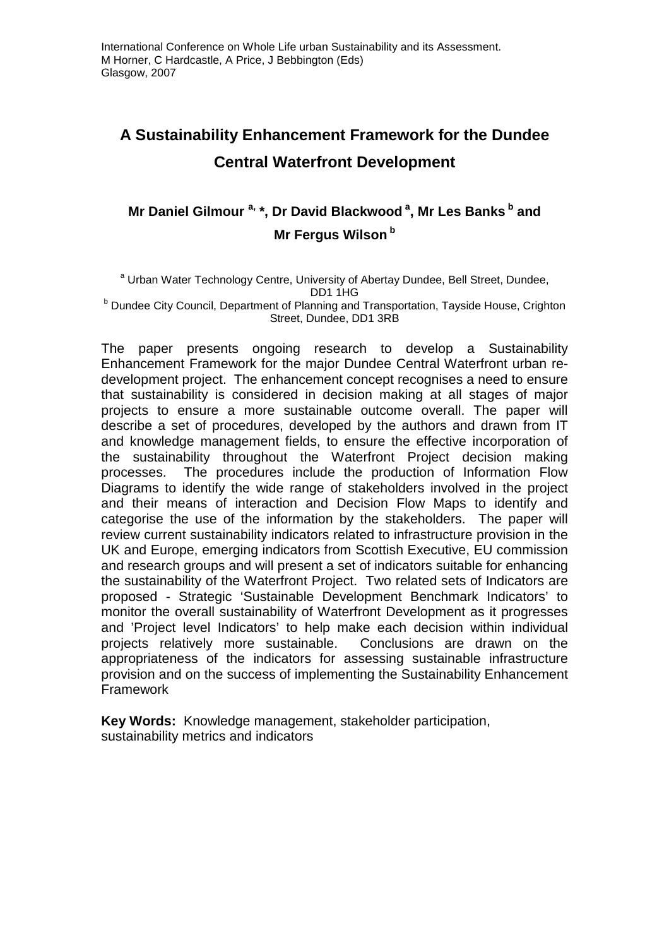# **A Sustainability Enhancement Framework for the Dundee Central Waterfront Development**

## **Mr Daniel Gilmour a, \*, Dr David Blackwood<sup>a</sup>, Mr Les Banks<sup>b</sup> and Mr Fergus Wilson<sup>b</sup>**

<sup>a</sup> Urban Water Technology Centre, University of Abertay Dundee, Bell Street, Dundee, DD1 1HG

<sup>b</sup> Dundee City Council, Department of Planning and Transportation, Tayside House, Crighton Street, Dundee, DD1 3RB

The paper presents ongoing research to develop a Sustainability Enhancement Framework for the major Dundee Central Waterfront urban redevelopment project. The enhancement concept recognises a need to ensure that sustainability is considered in decision making at all stages of major projects to ensure a more sustainable outcome overall. The paper will describe a set of procedures, developed by the authors and drawn from IT and knowledge management fields, to ensure the effective incorporation of the sustainability throughout the Waterfront Project decision making processes. The procedures include the production of Information Flow Diagrams to identify the wide range of stakeholders involved in the project and their means of interaction and Decision Flow Maps to identify and categorise the use of the information by the stakeholders. The paper will review current sustainability indicators related to infrastructure provision in the UK and Europe, emerging indicators from Scottish Executive, EU commission and research groups and will present a set of indicators suitable for enhancing the sustainability of the Waterfront Project. Two related sets of Indicators are proposed - Strategic 'Sustainable Development Benchmark Indicators' to monitor the overall sustainability of Waterfront Development as it progresses and 'Project level Indicators' to help make each decision within individual projects relatively more sustainable. Conclusions are drawn on the appropriateness of the indicators for assessing sustainable infrastructure provision and on the success of implementing the Sustainability Enhancement Framework

**Key Words:** Knowledge management, stakeholder participation, sustainability metrics and indicators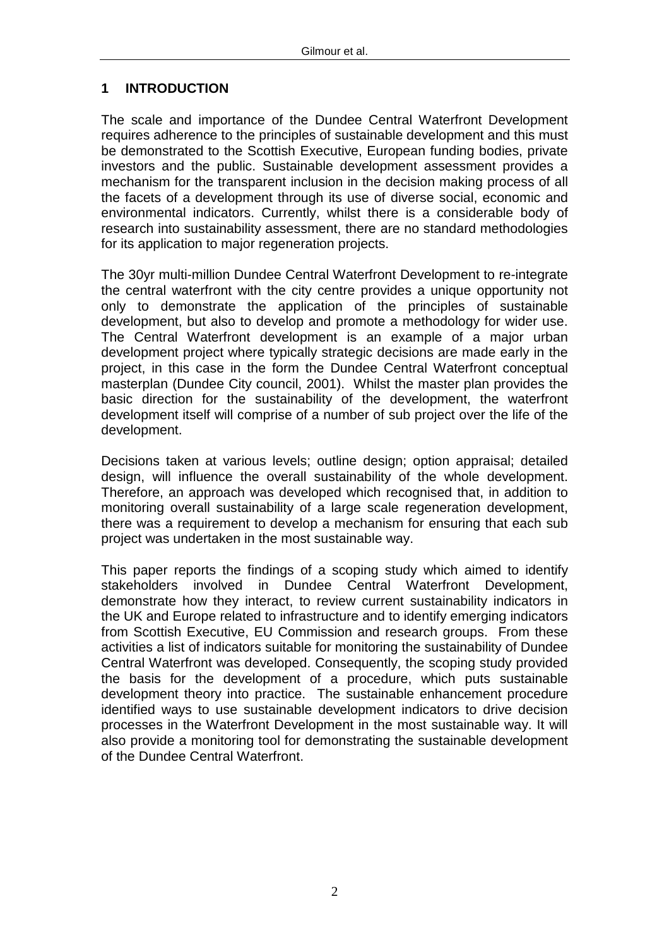#### **1 INTRODUCTION**

The scale and importance of the Dundee Central Waterfront Development requires adherence to the principles of sustainable development and this must be demonstrated to the Scottish Executive, European funding bodies, private investors and the public. Sustainable development assessment provides a mechanism for the transparent inclusion in the decision making process of all the facets of a development through its use of diverse social, economic and environmental indicators. Currently, whilst there is a considerable body of research into sustainability assessment, there are no standard methodologies for its application to major regeneration projects.

The 30yr multi-million Dundee Central Waterfront Development to re-integrate the central waterfront with the city centre provides a unique opportunity not only to demonstrate the application of the principles of sustainable development, but also to develop and promote a methodology for wider use. The Central Waterfront development is an example of a major urban development project where typically strategic decisions are made early in the project, in this case in the form the Dundee Central Waterfront conceptual masterplan (Dundee City council, 2001). Whilst the master plan provides the basic direction for the sustainability of the development, the waterfront development itself will comprise of a number of sub project over the life of the development.

Decisions taken at various levels; outline design; option appraisal; detailed design, will influence the overall sustainability of the whole development. Therefore, an approach was developed which recognised that, in addition to monitoring overall sustainability of a large scale regeneration development, there was a requirement to develop a mechanism for ensuring that each sub project was undertaken in the most sustainable way.

This paper reports the findings of a scoping study which aimed to identify stakeholders involved in Dundee Central Waterfront Development, demonstrate how they interact, to review current sustainability indicators in the UK and Europe related to infrastructure and to identify emerging indicators from Scottish Executive, EU Commission and research groups. From these activities a list of indicators suitable for monitoring the sustainability of Dundee Central Waterfront was developed. Consequently, the scoping study provided the basis for the development of a procedure, which puts sustainable development theory into practice. The sustainable enhancement procedure identified ways to use sustainable development indicators to drive decision processes in the Waterfront Development in the most sustainable way. It will also provide a monitoring tool for demonstrating the sustainable development of the Dundee Central Waterfront.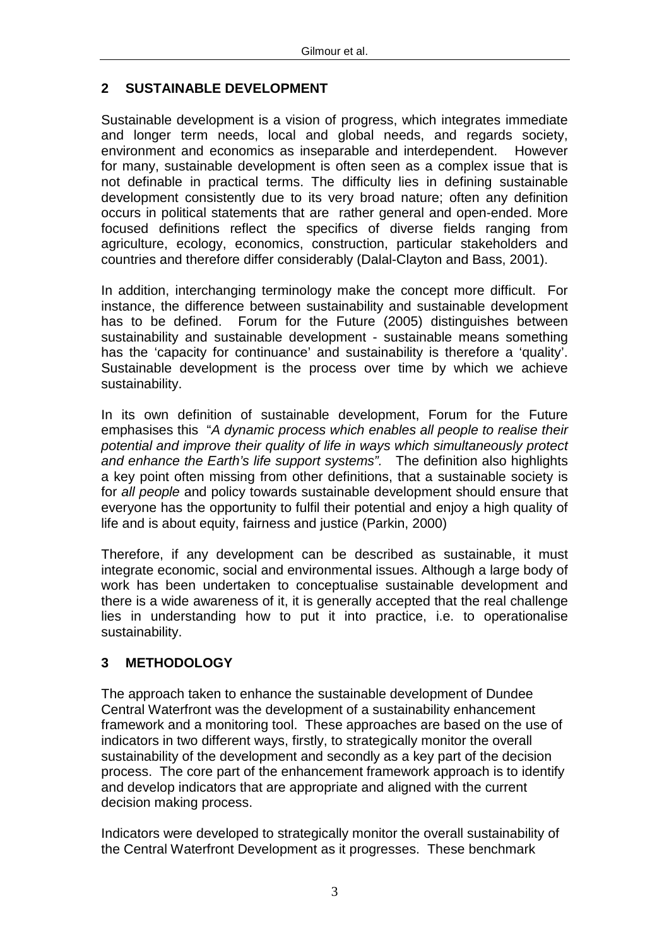#### **2 SUSTAINABLE DEVELOPMENT**

Sustainable development is a vision of progress, which integrates immediate and longer term needs, local and global needs, and regards society, environment and economics as inseparable and interdependent. However for many, sustainable development is often seen as a complex issue that is not definable in practical terms. The difficulty lies in defining sustainable development consistently due to its very broad nature; often any definition occurs in political statements that are rather general and open-ended. More focused definitions reflect the specifics of diverse fields ranging from agriculture, ecology, economics, construction, particular stakeholders and countries and therefore differ considerably (Dalal-Clayton and Bass, 2001).

In addition, interchanging terminology make the concept more difficult. For instance, the difference between sustainability and sustainable development has to be defined. Forum for the Future (2005) distinguishes between sustainability and sustainable development - sustainable means something has the 'capacity for continuance' and sustainability is therefore a 'quality'. Sustainable development is the process over time by which we achieve sustainability.

In its own definition of sustainable development, Forum for the Future emphasises this "A dynamic process which enables all people to realise their potential and improve their quality of life in ways which simultaneously protect and enhance the Earth's life support systems". The definition also highlights a key point often missing from other definitions, that a sustainable society is for all people and policy towards sustainable development should ensure that everyone has the opportunity to fulfil their potential and enjoy a high quality of life and is about equity, fairness and justice (Parkin, 2000)

Therefore, if any development can be described as sustainable, it must integrate economic, social and environmental issues. Although a large body of work has been undertaken to conceptualise sustainable development and there is a wide awareness of it, it is generally accepted that the real challenge lies in understanding how to put it into practice, i.e. to operationalise sustainability.

#### **3 METHODOLOGY**

The approach taken to enhance the sustainable development of Dundee Central Waterfront was the development of a sustainability enhancement framework and a monitoring tool. These approaches are based on the use of indicators in two different ways, firstly, to strategically monitor the overall sustainability of the development and secondly as a key part of the decision process. The core part of the enhancement framework approach is to identify and develop indicators that are appropriate and aligned with the current decision making process.

Indicators were developed to strategically monitor the overall sustainability of the Central Waterfront Development as it progresses. These benchmark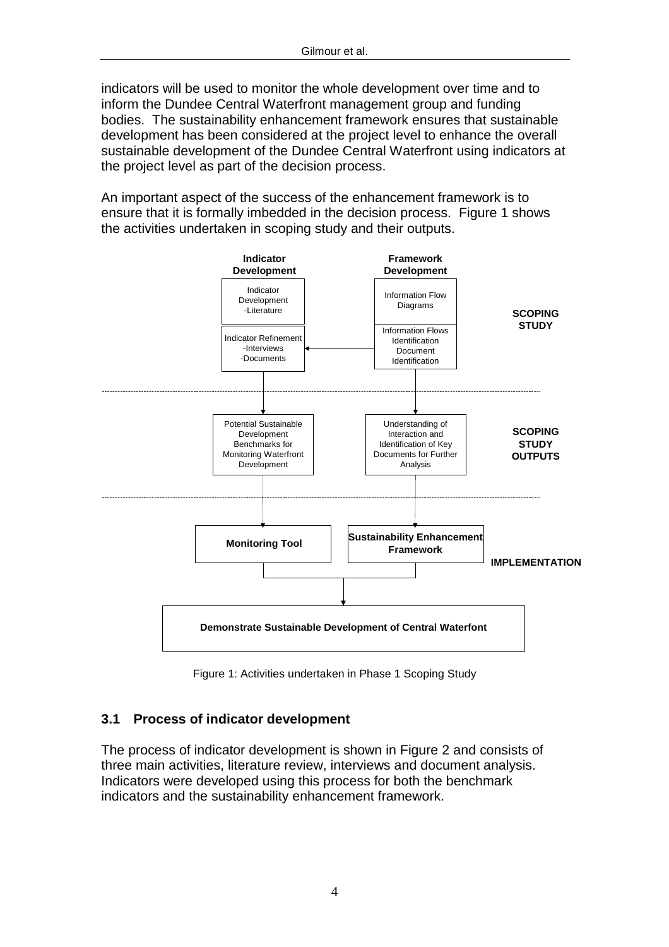indicators will be used to monitor the whole development over time and to inform the Dundee Central Waterfront management group and funding bodies. The sustainability enhancement framework ensures that sustainable development has been considered at the project level to enhance the overall sustainable development of the Dundee Central Waterfront using indicators at the project level as part of the decision process.

An important aspect of the success of the enhancement framework is to ensure that it is formally imbedded in the decision process. Figure 1 shows the activities undertaken in scoping study and their outputs.



Figure 1: Activities undertaken in Phase 1 Scoping Study

#### **3.1 Process of indicator development**

The process of indicator development is shown in Figure 2 and consists of three main activities, literature review, interviews and document analysis. Indicators were developed using this process for both the benchmark indicators and the sustainability enhancement framework.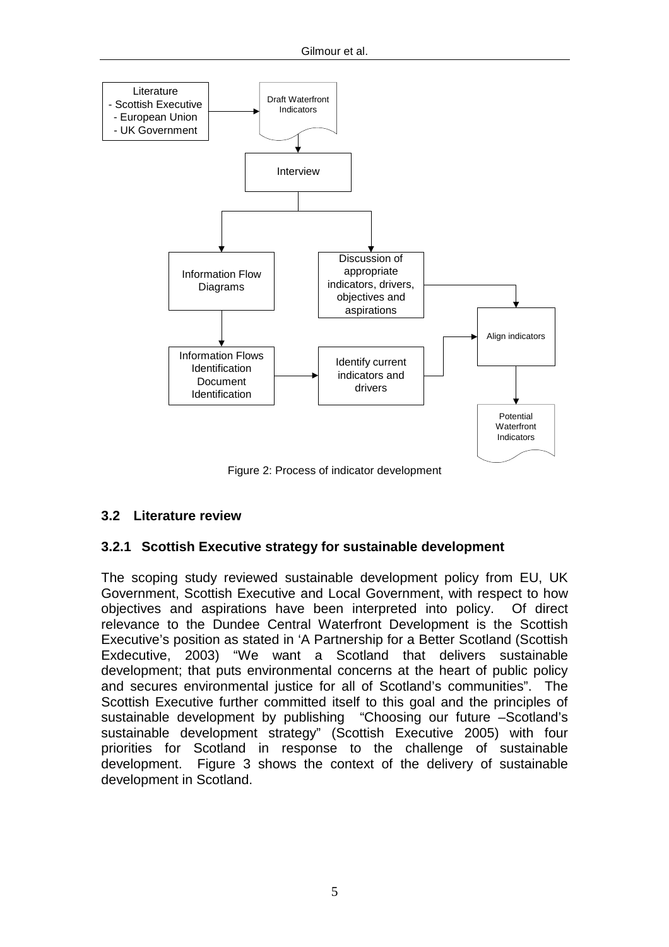

Figure 2: Process of indicator development

#### **3.2 Literature review**

#### **3.2.1 Scottish Executive strategy for sustainable development**

The scoping study reviewed sustainable development policy from EU, UK Government, Scottish Executive and Local Government, with respect to how objectives and aspirations have been interpreted into policy. Of direct relevance to the Dundee Central Waterfront Development is the Scottish Executive's position as stated in 'A Partnership for a Better Scotland (Scottish Exdecutive, 2003) "We want a Scotland that delivers sustainable development; that puts environmental concerns at the heart of public policy and secures environmental justice for all of Scotland's communities". The Scottish Executive further committed itself to this goal and the principles of sustainable development by publishing "Choosing our future –Scotland's sustainable development strategy" (Scottish Executive 2005) with four priorities for Scotland in response to the challenge of sustainable development. Figure 3 shows the context of the delivery of sustainable development in Scotland.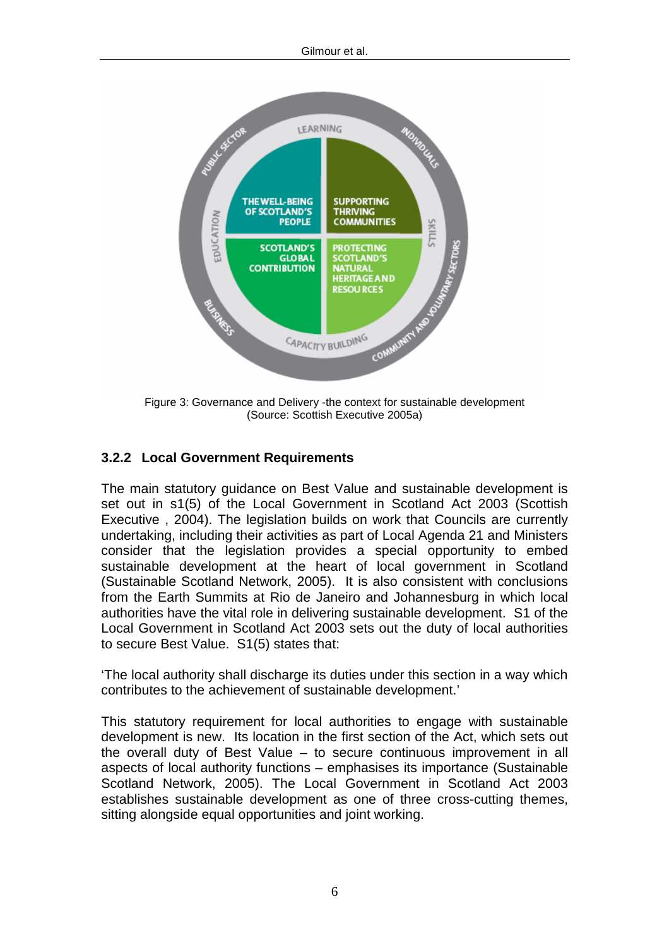

Figure 3: Governance and Delivery -the context for sustainable development (Source: Scottish Executive 2005a)

#### **3.2.2 Local Government Requirements**

The main statutory guidance on Best Value and sustainable development is set out in s1(5) of the Local Government in Scotland Act 2003 (Scottish Executive , 2004). The legislation builds on work that Councils are currently undertaking, including their activities as part of Local Agenda 21 and Ministers consider that the legislation provides a special opportunity to embed sustainable development at the heart of local government in Scotland (Sustainable Scotland Network, 2005). It is also consistent with conclusions from the Earth Summits at Rio de Janeiro and Johannesburg in which local authorities have the vital role in delivering sustainable development. S1 of the Local Government in Scotland Act 2003 sets out the duty of local authorities to secure Best Value. S1(5) states that:

'The local authority shall discharge its duties under this section in a way which contributes to the achievement of sustainable development.'

This statutory requirement for local authorities to engage with sustainable development is new. Its location in the first section of the Act, which sets out the overall duty of Best Value – to secure continuous improvement in all aspects of local authority functions – emphasises its importance (Sustainable Scotland Network, 2005). The Local Government in Scotland Act 2003 establishes sustainable development as one of three cross-cutting themes, sitting alongside equal opportunities and joint working.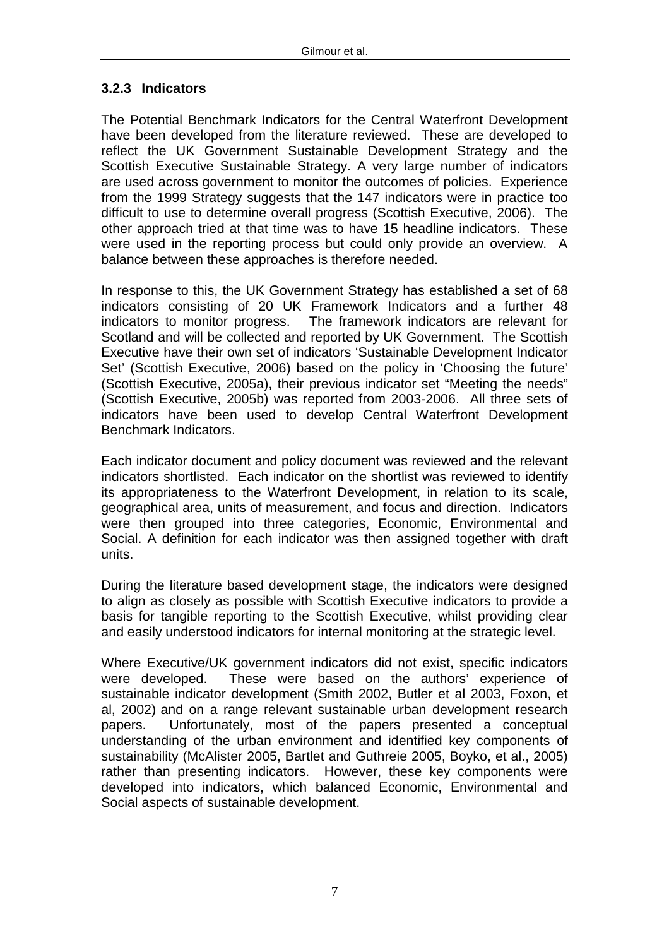#### **3.2.3 Indicators**

The Potential Benchmark Indicators for the Central Waterfront Development have been developed from the literature reviewed. These are developed to reflect the UK Government Sustainable Development Strategy and the Scottish Executive Sustainable Strategy. A very large number of indicators are used across government to monitor the outcomes of policies. Experience from the 1999 Strategy suggests that the 147 indicators were in practice too difficult to use to determine overall progress (Scottish Executive, 2006). The other approach tried at that time was to have 15 headline indicators. These were used in the reporting process but could only provide an overview. A balance between these approaches is therefore needed.

In response to this, the UK Government Strategy has established a set of 68 indicators consisting of 20 UK Framework Indicators and a further 48 indicators to monitor progress. The framework indicators are relevant for Scotland and will be collected and reported by UK Government. The Scottish Executive have their own set of indicators 'Sustainable Development Indicator Set' (Scottish Executive, 2006) based on the policy in 'Choosing the future' (Scottish Executive, 2005a), their previous indicator set "Meeting the needs" (Scottish Executive, 2005b) was reported from 2003-2006. All three sets of indicators have been used to develop Central Waterfront Development Benchmark Indicators.

Each indicator document and policy document was reviewed and the relevant indicators shortlisted. Each indicator on the shortlist was reviewed to identify its appropriateness to the Waterfront Development, in relation to its scale, geographical area, units of measurement, and focus and direction. Indicators were then grouped into three categories, Economic, Environmental and Social. A definition for each indicator was then assigned together with draft units.

During the literature based development stage, the indicators were designed to align as closely as possible with Scottish Executive indicators to provide a basis for tangible reporting to the Scottish Executive, whilst providing clear and easily understood indicators for internal monitoring at the strategic level.

Where Executive/UK government indicators did not exist, specific indicators were developed. These were based on the authors' experience of sustainable indicator development (Smith 2002, Butler et al 2003, Foxon, et al, 2002) and on a range relevant sustainable urban development research papers. Unfortunately, most of the papers presented a conceptual understanding of the urban environment and identified key components of sustainability (McAlister 2005, Bartlet and Guthreie 2005, Boyko, et al., 2005) rather than presenting indicators. However, these key components were developed into indicators, which balanced Economic, Environmental and Social aspects of sustainable development.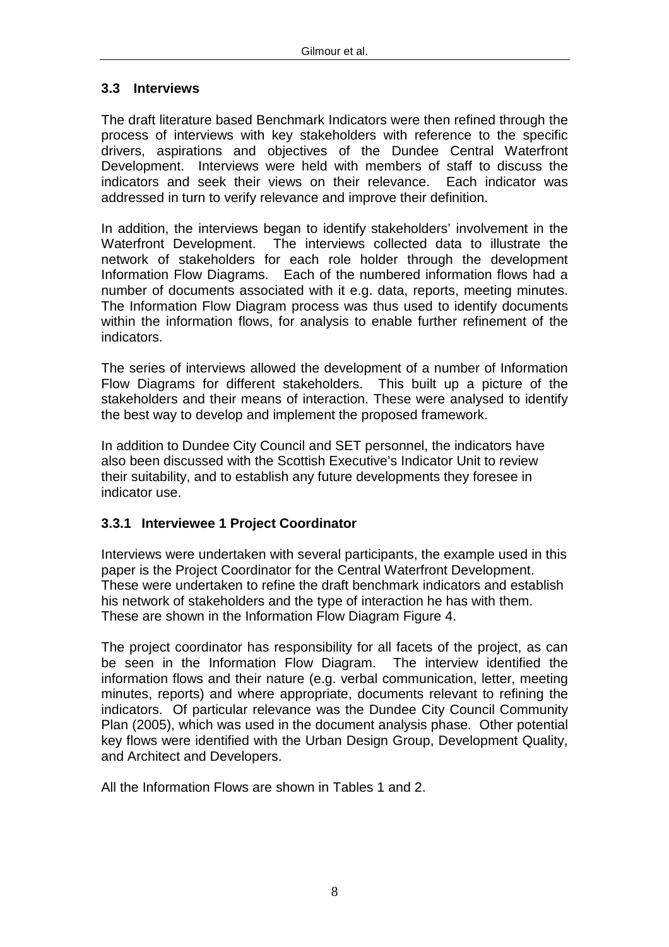#### **3.3 Interviews**

The draft literature based Benchmark Indicators were then refined through the process of interviews with key stakeholders with reference to the specific drivers, aspirations and objectives of the Dundee Central Waterfront Development. Interviews were held with members of staff to discuss the indicators and seek their views on their relevance. Each indicator was addressed in turn to verify relevance and improve their definition.

In addition, the interviews began to identify stakeholders' involvement in the Waterfront Development. The interviews collected data to illustrate the network of stakeholders for each role holder through the development Information Flow Diagrams. Each of the numbered information flows had a number of documents associated with it e.g. data, reports, meeting minutes. The Information Flow Diagram process was thus used to identify documents within the information flows, for analysis to enable further refinement of the indicators.

The series of interviews allowed the development of a number of Information Flow Diagrams for different stakeholders. This built up a picture of the stakeholders and their means of interaction. These were analysed to identify the best way to develop and implement the proposed framework.

In addition to Dundee City Council and SET personnel, the indicators have also been discussed with the Scottish Executive's Indicator Unit to review their suitability, and to establish any future developments they foresee in indicator use.

#### **3.3.1 Interviewee 1 Project Coordinator**

Interviews were undertaken with several participants, the example used in this paper is the Project Coordinator for the Central Waterfront Development. These were undertaken to refine the draft benchmark indicators and establish his network of stakeholders and the type of interaction he has with them. These are shown in the Information Flow Diagram Figure 4.

The project coordinator has responsibility for all facets of the project, as can be seen in the Information Flow Diagram. The interview identified the information flows and their nature (e.g. verbal communication, letter, meeting minutes, reports) and where appropriate, documents relevant to refining the indicators. Of particular relevance was the Dundee City Council Community Plan (2005), which was used in the document analysis phase. Other potential key flows were identified with the Urban Design Group, Development Quality, and Architect and Developers.

All the Information Flows are shown in Tables 1 and 2.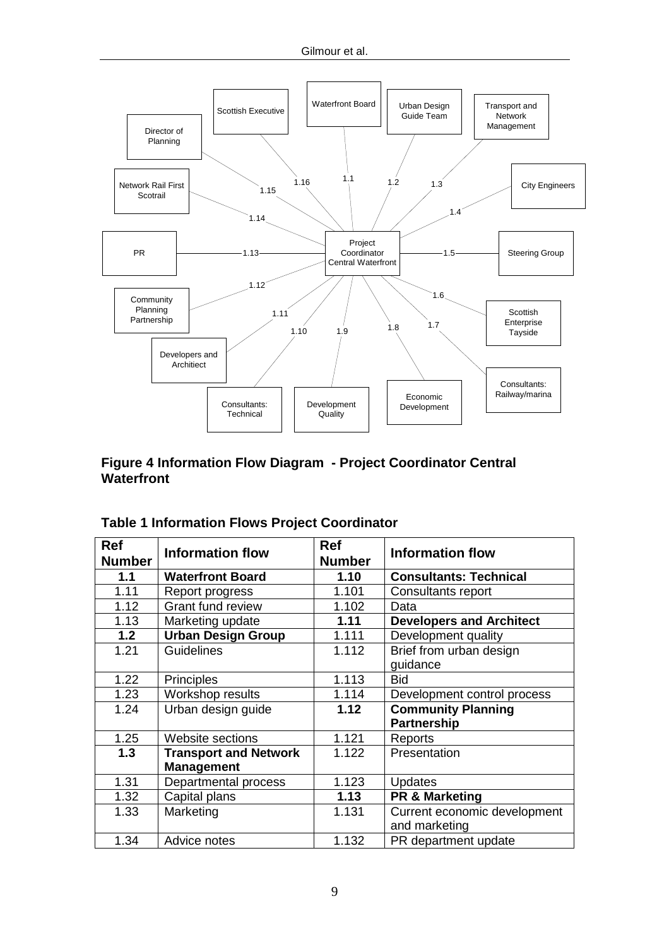

#### **Figure 4 Information Flow Diagram - Project Coordinator Central Waterfront**

| Ref<br><b>Number</b> | <b>Information flow</b>      | <b>Ref</b><br><b>Number</b> | <b>Information flow</b>         |
|----------------------|------------------------------|-----------------------------|---------------------------------|
| 1.1                  | <b>Waterfront Board</b>      | 1.10                        | <b>Consultants: Technical</b>   |
| 1.11                 | Report progress              | 1.101                       | Consultants report              |
| 1.12                 | <b>Grant fund review</b>     | 1.102                       | Data                            |
| 1.13                 | Marketing update             | 1.11                        | <b>Developers and Architect</b> |
| 1.2                  | <b>Urban Design Group</b>    | 1.111                       | Development quality             |
| 1.21                 | <b>Guidelines</b>            | 1.112                       | Brief from urban design         |
|                      |                              |                             | guidance                        |
| 1.22                 | <b>Principles</b>            | 1.113                       | <b>Bid</b>                      |
| 1.23                 | Workshop results             | 1.114                       | Development control process     |
| 1.24                 | Urban design guide           | 1.12                        | <b>Community Planning</b>       |
|                      |                              |                             | <b>Partnership</b>              |
| 1.25                 | Website sections             | 1.121                       | Reports                         |
| 1.3                  | <b>Transport and Network</b> | 1.122                       | Presentation                    |
|                      | <b>Management</b>            |                             |                                 |
| 1.31                 | Departmental process         | 1.123                       | <b>Updates</b>                  |
| 1.32                 | Capital plans                | 1.13                        | <b>PR &amp; Marketing</b>       |
| 1.33                 | Marketing                    | 1.131                       | Current economic development    |
|                      |                              |                             | and marketing                   |
| 1.34                 | Advice notes                 | 1.132                       | PR department update            |

#### **Table 1 Information Flows Project Coordinator**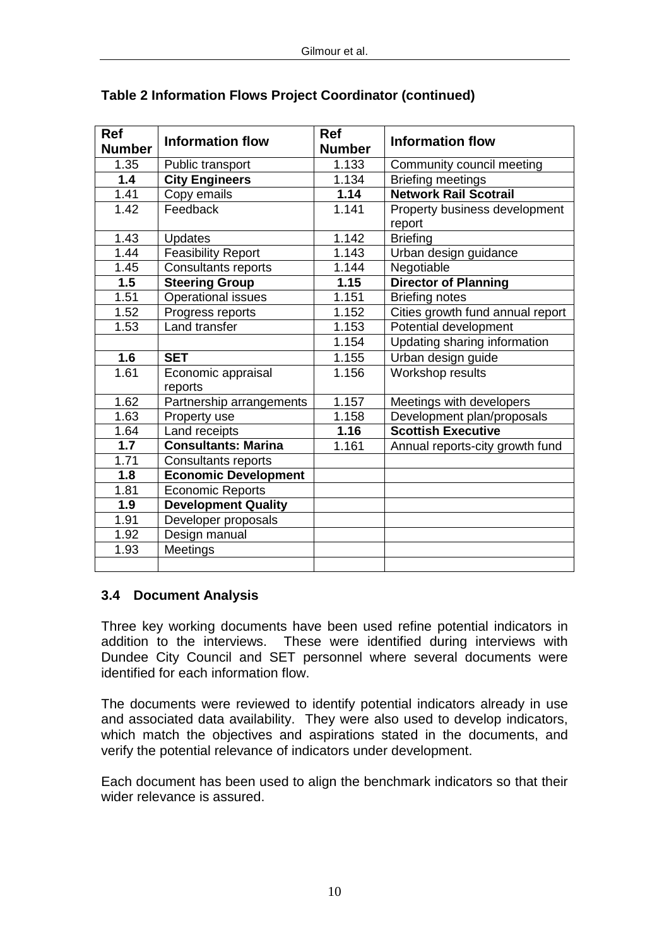| <b>Ref</b><br><b>Number</b> | <b>Information flow</b>     | <b>Ref</b><br><b>Number</b> | <b>Information flow</b>          |
|-----------------------------|-----------------------------|-----------------------------|----------------------------------|
| 1.35                        | Public transport            | 1.133                       | Community council meeting        |
| 1.4                         | <b>City Engineers</b>       | 1.134                       | <b>Briefing meetings</b>         |
| 1.41                        | Copy emails                 | 1.14                        | <b>Network Rail Scotrail</b>     |
| 1.42                        | Feedback                    | 1.141                       | Property business development    |
|                             |                             |                             | report                           |
| 1.43                        | Updates                     | 1.142                       | <b>Briefing</b>                  |
| 1.44                        | <b>Feasibility Report</b>   | 1.143                       | Urban design guidance            |
| 1.45                        | Consultants reports         | 1.144                       | Negotiable                       |
| 1.5                         | <b>Steering Group</b>       | 1.15                        | <b>Director of Planning</b>      |
| 1.51                        | <b>Operational issues</b>   | 1.151                       | <b>Briefing notes</b>            |
| 1.52                        | Progress reports            | 1.152                       | Cities growth fund annual report |
| 1.53                        | Land transfer               | 1.153                       | Potential development            |
|                             |                             | 1.154                       | Updating sharing information     |
| 1.6                         | <b>SET</b>                  | 1.155                       | Urban design guide               |
| 1.61                        | Economic appraisal          | 1.156                       | Workshop results                 |
|                             | reports                     |                             |                                  |
| 1.62                        | Partnership arrangements    | 1.157                       | Meetings with developers         |
| 1.63                        | Property use                | 1.158                       | Development plan/proposals       |
| 1.64                        | Land receipts               | 1.16                        | <b>Scottish Executive</b>        |
| 1.7                         | <b>Consultants: Marina</b>  | 1.161                       | Annual reports-city growth fund  |
| 1.71                        | Consultants reports         |                             |                                  |
| 1.8                         | <b>Economic Development</b> |                             |                                  |
| 1.81                        | <b>Economic Reports</b>     |                             |                                  |
| 1.9                         | <b>Development Quality</b>  |                             |                                  |
| 1.91                        | Developer proposals         |                             |                                  |
| 1.92                        | Design manual               |                             |                                  |
| 1.93                        | <b>Meetings</b>             |                             |                                  |
|                             |                             |                             |                                  |

### **Table 2 Information Flows Project Coordinator (continued)**

#### **3.4 Document Analysis**

Three key working documents have been used refine potential indicators in addition to the interviews. These were identified during interviews with Dundee City Council and SET personnel where several documents were identified for each information flow.

The documents were reviewed to identify potential indicators already in use and associated data availability. They were also used to develop indicators, which match the objectives and aspirations stated in the documents, and verify the potential relevance of indicators under development.

Each document has been used to align the benchmark indicators so that their wider relevance is assured.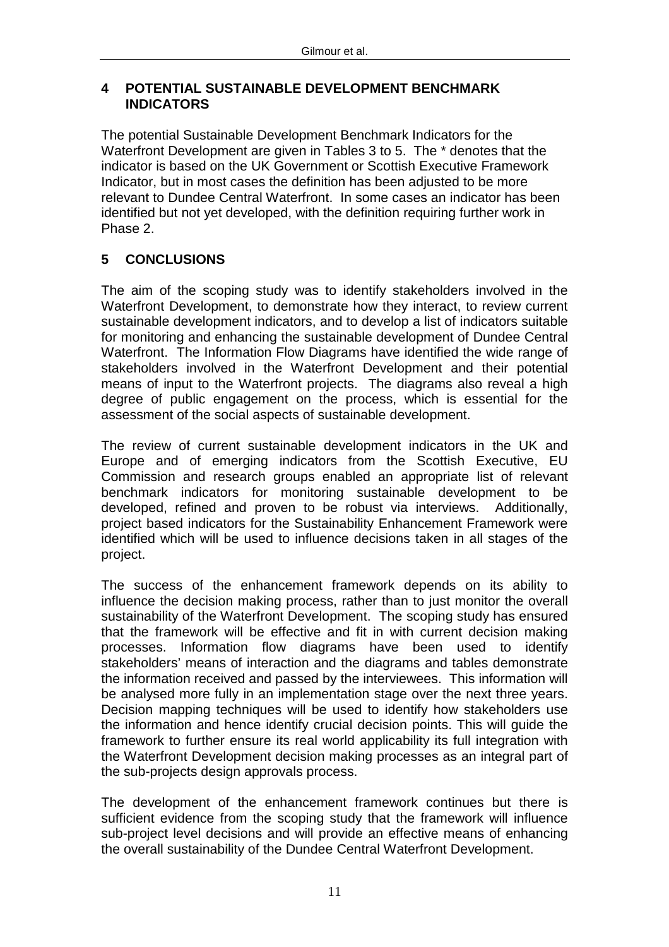#### **4 POTENTIAL SUSTAINABLE DEVELOPMENT BENCHMARK INDICATORS**

The potential Sustainable Development Benchmark Indicators for the Waterfront Development are given in Tables 3 to 5. The \* denotes that the indicator is based on the UK Government or Scottish Executive Framework Indicator, but in most cases the definition has been adjusted to be more relevant to Dundee Central Waterfront. In some cases an indicator has been identified but not yet developed, with the definition requiring further work in Phase 2.

#### **5 CONCLUSIONS**

The aim of the scoping study was to identify stakeholders involved in the Waterfront Development, to demonstrate how they interact, to review current sustainable development indicators, and to develop a list of indicators suitable for monitoring and enhancing the sustainable development of Dundee Central Waterfront. The Information Flow Diagrams have identified the wide range of stakeholders involved in the Waterfront Development and their potential means of input to the Waterfront projects. The diagrams also reveal a high degree of public engagement on the process, which is essential for the assessment of the social aspects of sustainable development.

The review of current sustainable development indicators in the UK and Europe and of emerging indicators from the Scottish Executive, EU Commission and research groups enabled an appropriate list of relevant benchmark indicators for monitoring sustainable development to be developed, refined and proven to be robust via interviews. Additionally, project based indicators for the Sustainability Enhancement Framework were identified which will be used to influence decisions taken in all stages of the project.

The success of the enhancement framework depends on its ability to influence the decision making process, rather than to just monitor the overall sustainability of the Waterfront Development. The scoping study has ensured that the framework will be effective and fit in with current decision making processes. Information flow diagrams have been used to identify stakeholders' means of interaction and the diagrams and tables demonstrate the information received and passed by the interviewees. This information will be analysed more fully in an implementation stage over the next three years. Decision mapping techniques will be used to identify how stakeholders use the information and hence identify crucial decision points. This will guide the framework to further ensure its real world applicability its full integration with the Waterfront Development decision making processes as an integral part of the sub-projects design approvals process.

The development of the enhancement framework continues but there is sufficient evidence from the scoping study that the framework will influence sub-project level decisions and will provide an effective means of enhancing the overall sustainability of the Dundee Central Waterfront Development.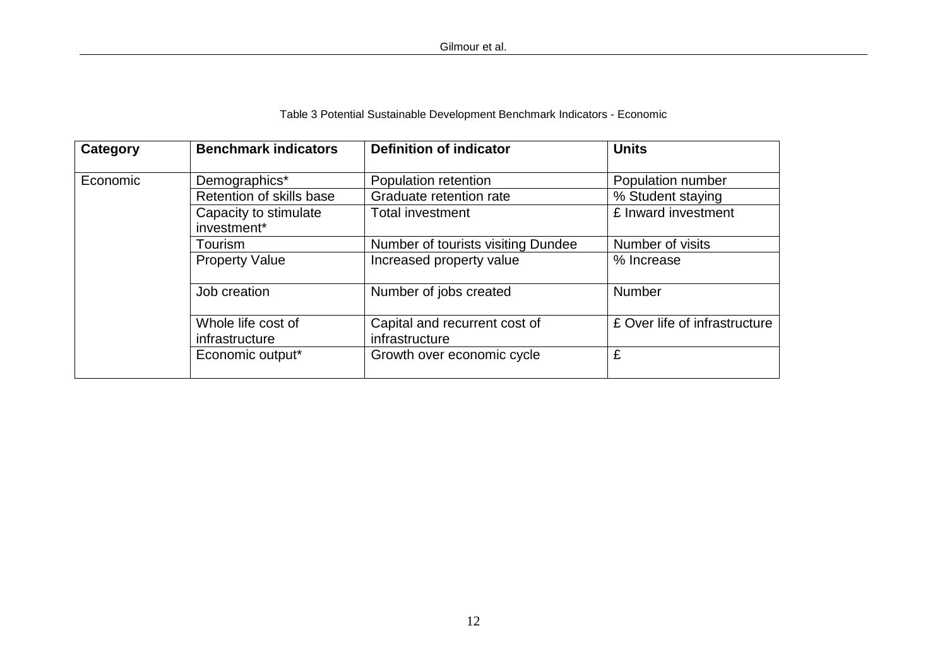| Table 3 Potential Sustainable Development Benchmark Indicators - Economic |
|---------------------------------------------------------------------------|
|---------------------------------------------------------------------------|

| Category | <b>Benchmark indicators</b>                                                       | <b>Definition of indicator</b>                                             | <b>Units</b>                                                  |
|----------|-----------------------------------------------------------------------------------|----------------------------------------------------------------------------|---------------------------------------------------------------|
| Economic | Demographics*<br>Retention of skills base<br>Capacity to stimulate<br>investment* | Population retention<br>Graduate retention rate<br><b>Total investment</b> | Population number<br>% Student staying<br>£ Inward investment |
|          | Tourism<br><b>Property Value</b>                                                  | Number of tourists visiting Dundee<br>Increased property value             | Number of visits<br>% Increase                                |
|          | Job creation                                                                      | Number of jobs created                                                     | <b>Number</b>                                                 |
|          | Whole life cost of<br>infrastructure                                              | Capital and recurrent cost of<br>infrastructure                            | £ Over life of infrastructure                                 |
|          | Economic output*                                                                  | Growth over economic cycle                                                 | £                                                             |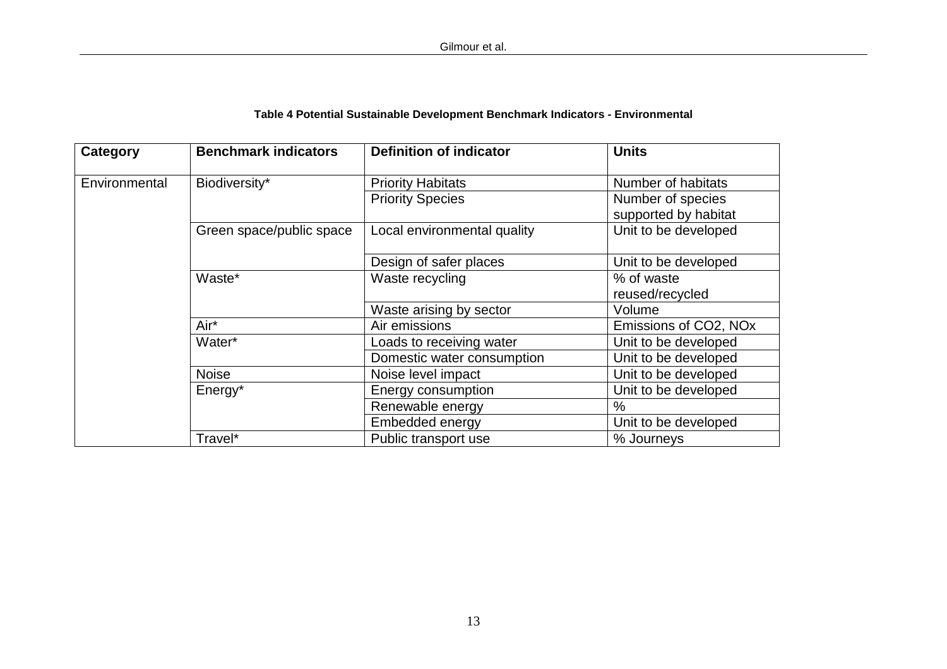| Table 4 Potential Sustainable Development Benchmark Indicators - Environmental |  |  |
|--------------------------------------------------------------------------------|--|--|
|--------------------------------------------------------------------------------|--|--|

| <b>Category</b> | <b>Benchmark indicators</b> | <b>Definition of indicator</b> | <b>Units</b>          |
|-----------------|-----------------------------|--------------------------------|-----------------------|
| Environmental   | Biodiversity*               | <b>Priority Habitats</b>       | Number of habitats    |
|                 |                             | <b>Priority Species</b>        | Number of species     |
|                 |                             |                                | supported by habitat  |
|                 | Green space/public space    | Local environmental quality    | Unit to be developed  |
|                 |                             | Design of safer places         | Unit to be developed  |
|                 | Waste*                      | Waste recycling                | % of waste            |
|                 |                             |                                | reused/recycled       |
|                 |                             | Waste arising by sector        | Volume                |
|                 | Air*                        | Air emissions                  | Emissions of CO2, NOx |
|                 | Water*                      | Loads to receiving water       | Unit to be developed  |
|                 |                             | Domestic water consumption     | Unit to be developed  |
|                 | <b>Noise</b>                | Noise level impact             | Unit to be developed  |
|                 | Energy*                     | Energy consumption             | Unit to be developed  |
|                 |                             | Renewable energy               | $\frac{0}{0}$         |
|                 |                             | Embedded energy                | Unit to be developed  |
|                 | Travel*                     | Public transport use           | % Journeys            |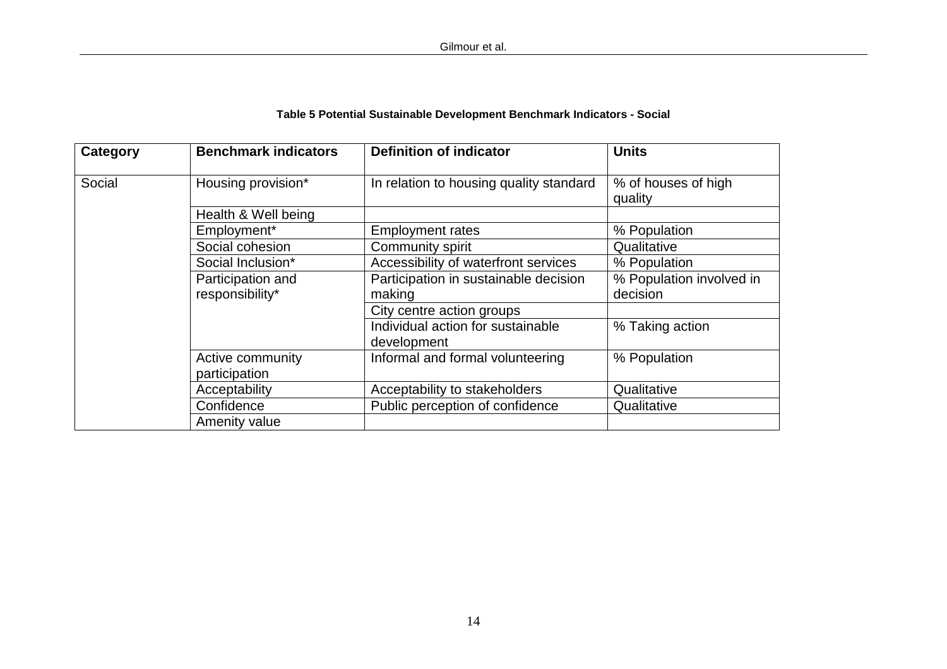| Category | <b>Benchmark indicators</b> | <b>Definition of indicator</b>          | <b>Units</b>                   |
|----------|-----------------------------|-----------------------------------------|--------------------------------|
| Social   | Housing provision*          | In relation to housing quality standard | % of houses of high<br>quality |
|          | Health & Well being         |                                         |                                |
|          | Employment*                 | <b>Employment rates</b>                 | % Population                   |
|          | Social cohesion             | Community spirit                        | Qualitative                    |
|          | Social Inclusion*           | Accessibility of waterfront services    | % Population                   |
|          | Participation and           | Participation in sustainable decision   | % Population involved in       |
|          | responsibility*             | making                                  | decision                       |
|          |                             | City centre action groups               |                                |
|          |                             | Individual action for sustainable       | % Taking action                |
|          |                             | development                             |                                |
|          | Active community            | Informal and formal volunteering        | % Population                   |
|          | participation               |                                         |                                |
|          | Acceptability               | Acceptability to stakeholders           | Qualitative                    |
|          | Confidence                  | Public perception of confidence         | Qualitative                    |
|          | Amenity value               |                                         |                                |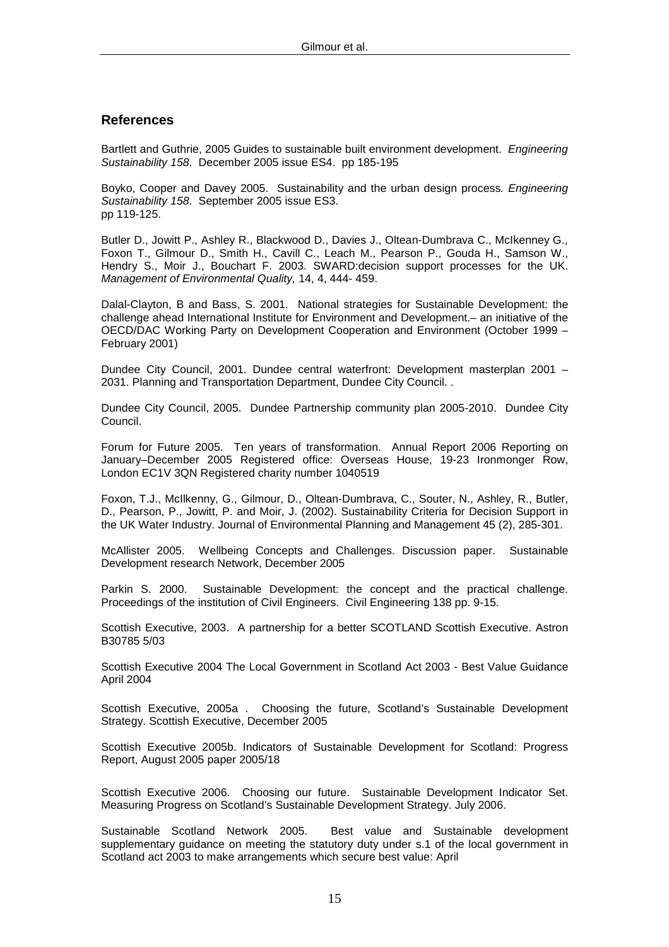#### **References**

Bartlett and Guthrie, 2005 Guides to sustainable built environment development. Engineering Sustainability 158. December 2005 issue ES4. pp 185-195

Boyko, Cooper and Davey 2005. Sustainability and the urban design process. Engineering Sustainability 158. September 2005 issue ES3. pp 119-125.

Butler D., Jowitt P., Ashley R., Blackwood D., Davies J., Oltean-Dumbrava C., McIkenney G., Foxon T., Gilmour D., Smith H., Cavill C., Leach M., Pearson P., Gouda H., Samson W., Hendry S., Moir J., Bouchart F. 2003. SWARD:decision support processes for the UK. Management of Environmental Quality, 14, 4, 444- 459.

Dalal-Clayton, B and Bass, S. 2001. National strategies for Sustainable Development: the challenge ahead International Institute for Environment and Development.– an initiative of the OECD/DAC Working Party on Development Cooperation and Environment (October 1999 – February 2001)

Dundee City Council, 2001. Dundee central waterfront: Development masterplan 2001 – 2031. Planning and Transportation Department, Dundee City Council. .

Dundee City Council, 2005. Dundee Partnership community plan 2005-2010. Dundee City Council.

Forum for Future 2005. Ten years of transformation. Annual Report 2006 Reporting on January–December 2005 Registered office: Overseas House, 19-23 Ironmonger Row, London EC1V 3QN Registered charity number 1040519

Foxon, T.J., McIlkenny, G., Gilmour, D., Oltean-Dumbrava, C., Souter, N., Ashley, R., Butler, D., Pearson, P., Jowitt, P. and Moir, J. (2002). Sustainability Criteria for Decision Support in the UK Water Industry. Journal of Environmental Planning and Management 45 (2), 285-301.

McAllister 2005. Wellbeing Concepts and Challenges. Discussion paper. Sustainable Development research Network, December 2005

Parkin S. 2000. Sustainable Development: the concept and the practical challenge. Proceedings of the institution of Civil Engineers. Civil Engineering 138 pp. 9-15.

Scottish Executive, 2003. A partnership for a better SCOTLAND Scottish Executive. Astron B30785 5/03

Scottish Executive 2004 The Local Government in Scotland Act 2003 - Best Value Guidance April 2004

Scottish Executive, 2005a . Choosing the future, Scotland's Sustainable Development Strategy. Scottish Executive, December 2005

Scottish Executive 2005b. Indicators of Sustainable Development for Scotland: Progress Report, August 2005 paper 2005/18

Scottish Executive 2006. Choosing our future. Sustainable Development Indicator Set. Measuring Progress on Scotland's Sustainable Development Strategy. July 2006.

Sustainable Scotland Network 2005. Best value and Sustainable development supplementary guidance on meeting the statutory duty under s.1 of the local government in Scotland act 2003 to make arrangements which secure best value: April